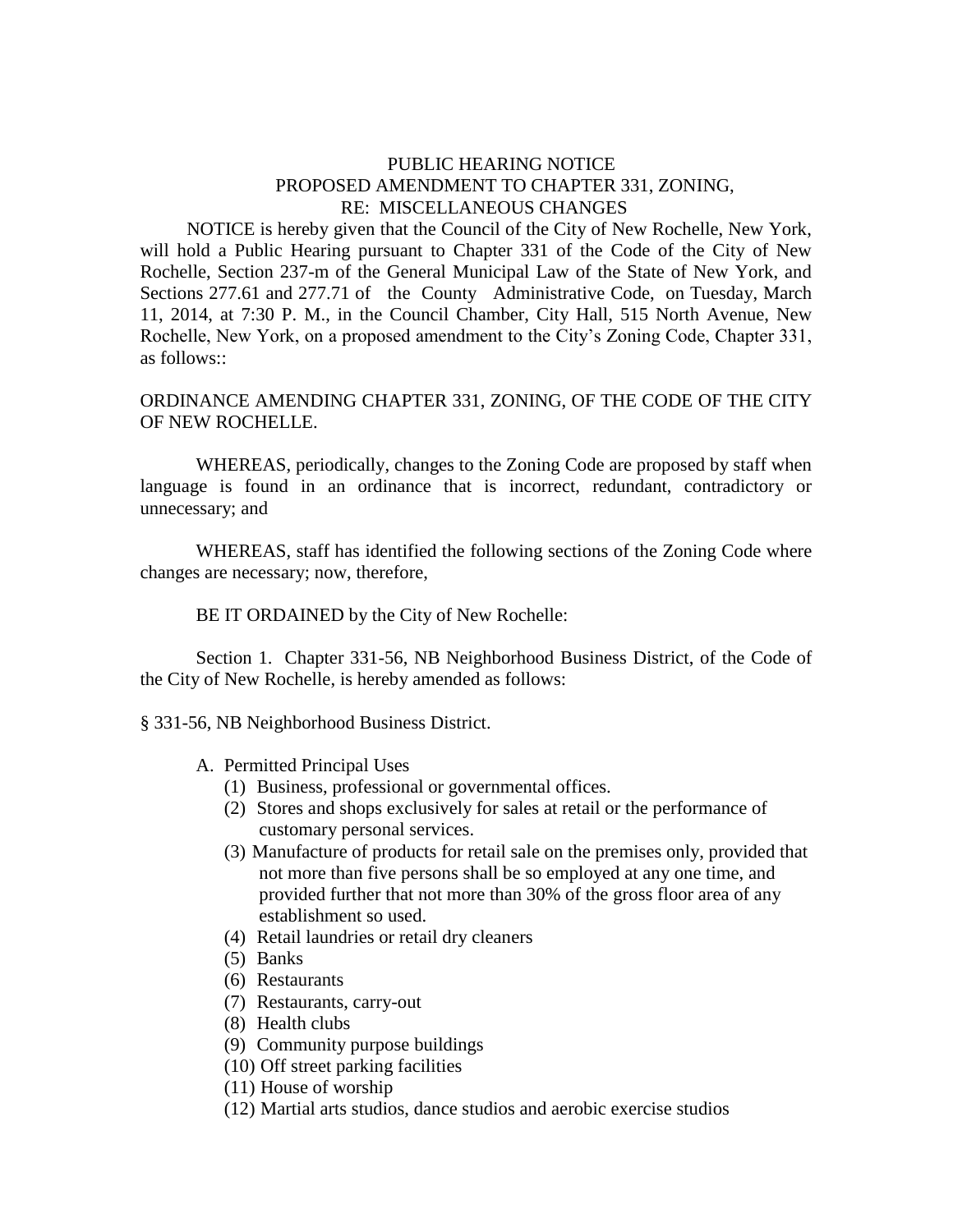## PUBLIC HEARING NOTICE PROPOSED AMENDMENT TO CHAPTER 331, ZONING, RE: MISCELLANEOUS CHANGES

 NOTICE is hereby given that the Council of the City of New Rochelle, New York, will hold a Public Hearing pursuant to Chapter 331 of the Code of the City of New Rochelle, Section 237-m of the General Municipal Law of the State of New York, and Sections 277.61 and 277.71 of the County Administrative Code, on Tuesday, March 11, 2014, at 7:30 P. M., in the Council Chamber, City Hall, 515 North Avenue, New Rochelle, New York, on a proposed amendment to the City's Zoning Code, Chapter 331, as follows::

## ORDINANCE AMENDING CHAPTER 331, ZONING, OF THE CODE OF THE CITY OF NEW ROCHELLE.

WHEREAS, periodically, changes to the Zoning Code are proposed by staff when language is found in an ordinance that is incorrect, redundant, contradictory or unnecessary; and

WHEREAS, staff has identified the following sections of the Zoning Code where changes are necessary; now, therefore,

## BE IT ORDAINED by the City of New Rochelle:

Section 1. Chapter 331-56, NB Neighborhood Business District, of the Code of the City of New Rochelle, is hereby amended as follows:

§ 331-56, NB Neighborhood Business District.

- A. Permitted Principal Uses
	- (1) Business, professional or governmental offices.
	- (2) Stores and shops exclusively for sales at retail or the performance of customary personal services.
	- (3) Manufacture of products for retail sale on the premises only, provided that not more than five persons shall be so employed at any one time, and provided further that not more than 30% of the gross floor area of any establishment so used.
	- (4) Retail laundries or retail dry cleaners
	- (5) Banks
	- (6) Restaurants
	- (7) Restaurants, carry-out
	- (8) Health clubs
	- (9) Community purpose buildings
	- (10) Off street parking facilities
	- (11) House of worship
	- (12) Martial arts studios, dance studios and aerobic exercise studios